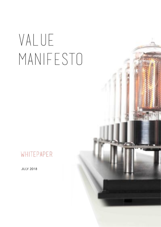# VALUE MANIFESTO

# WHITEPAPER

**JULY 2018** 

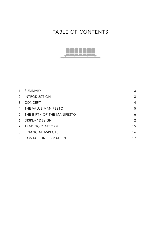# TABLE OF CONTENTS



| 1. SUMMARY                    | 3               |
|-------------------------------|-----------------|
| 2. INTRODUCTION               | 3               |
| 3. CONCEPT                    | $\overline{4}$  |
| 4. THE VALUE MANIFESTO        | 5               |
| 5. THE BIRTH OF THE MANIFESTO | 6               |
| 6. DISPLAY DESIGN             | 12 <sup>2</sup> |
| 7. TRADING PLATFORM           | 15              |
| 8. FINANCIAL ASPECTS          | 16              |
| 9. CONTACT INFORMATION        | 17              |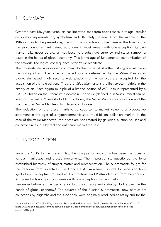### <span id="page-2-0"></span>1. SUMMARY

Over the past 150 years, visual art has liberated itself from ecclesiastical tutelage, secular censorship, representation, symbolism and ultimately material. From the middle of the 19th century to the present day, the struggle for autonomy has been at the forefront of the evolution of art. Art gained autonomy in most areas - with one exception: its own market. Like never before, art has become a substitute currency and status symbol, a pawn in the hands of global economy: This is the age of fundamental economization of the artwork. The logical consequence is the Value Manifesto.

The manifesto declares its own commercial value to be art: it is the first crypto-multiple in the history of art. The price of the editions is determined by the Value Manifesto's blockchain based, high security web platform on which bids are accepted for the acquisition of a single edition. Thus, the *Value Manifesto* is the first crypto-multiple in the history of art. Each crypto-multiple of a limited edition of 250 units is represented by a ERC-271 token on the Ethereum blockchain. The value (defined in in Swiss Francs) can be seen on the Value Manifesto bidding platform, the Value Manifesto application and the manufactured Value Manifesto IoT decryptor displays.

The reduction of the present artistic concept to its market value is a provocative statement in the ages of a hypercommercialized, multi-billion dollar art market. In the case of the Value Manifesto, the prices are not created by galleries, auction houses and collector circles, but by real and unfiltered market request.

## <span id="page-2-1"></span>2. INTRODUCTION

Since the 1850s to the present day, the struggle for autonomy has been the focus of various manifestos and artistic movements. The Impressionists questioned the long established hierarchy of subject matter and representation. The Suprematists fought for the freedom from objectivity. The Concrete Art movement sought for secession from symbolism. Conceptualism freed art from material and Postmodernism from the concept. Art gained autonomy in most areas - with one exception: its own market.

<span id="page-2-3"></span>Like never before, art has become a substitute currency and status symbol, a pawn in the hands of global economy.<sup>[1](#page-2-2)</sup> The squares of the Russian Suprematists, now part of art collections by oligarchs and the super rich, were originally produced as art by and for the

<span id="page-2-2"></span><sup>&</sup>lt;sup>[1](#page-2-3)</sup> Adriano Picinati di Torcello: Why should art be considered as an asset class? (Deloitte Financial Services 20.12.2012) https://www2.deloitte.com/content/dam/Deloitte/lu/Documents/financial-services/artandfinance/lu-art-assetclass-122012.pdf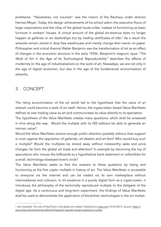<span id="page-3-2"></span>proletariat. "Necessities, not luxuries!" was the maxim of the Bauhaus under director Hannes Meyer. Today, the design achievements of his school adorn the executive floors of large corporations and the villas of the global haute-volée, instead of functioning as basic furniture in workers' houses. A critical amount of the global art-revenue does no longer happen at galleries or art dealerships but by trading certificates of title[.](#page-3-1)<sup>[2](#page-3-1)</sup> As a result the artworks remain stored in duty free warehouses and merely change their owner on paper. Philosopher and critical theorist Walter Benjamin saw the transformation of art as an effect of changes in the economic structure in the early 1930s. Benjamin's magnum opus "*The Work of Art in the Age of Its Technological Reproducibility"* describes the effects of modernity (in the age of industrialization) on the work of art. Nowadays, we are not only in the age of digital revolution, but also in the age of the fundamental economization of artworks.

# <span id="page-3-0"></span>3. CONCEPT

The rising economization of the art world led to the hypothesis that the value of an artwork could become a work of art itself. Hence, the crypto-token based Value Manifesto defines its own trading value as art and communicates its value directly to its spectators. The hypothesis of the Value Manifesto creates many questions, which shall be answered in time along the way: Would the multiple with its 250 editions be able to generate an intrinsic value?

Would the Value Manifesto receive enough public attention possibly without thee support or even against the opposition of gallerists, art dealers and art fairs? Who would buy such a multiple? Would the multiples be stored away without noteworthy sales and price changes, far from the global art trade and attention? In example by becoming the toy of speculators who misuse the billboards as a hypothetical bank statement or collectibles for a small, technology-obsessed lover's circle?

The Value Manifesto seeks to find the answers to these questions by being and functioning as the first crypto multiple in history of art. The Value Manifesto is accessible to everyone via the internet and can be traded via its own marketplace without intermediaries and collusion. In it's existence in a purely digital form as a crypto-token, it introduces the philosophy of the technically reproduced multiple to the Zeitgeist of the digital age. As a continuous and long-term experiment, the findings of Value Manifesto shall be used to demonstrate the application of blockchain technologies in the art market.

<span id="page-3-1"></span><sup>&</sup>lt;sup>2</sup> John Zarobell: The role of free Ports in the global art market. Published on [artsy.com](http://artsy.com) (14.07.2017). Source: [https://](https://www.artsy.net/article/artsy-editorial-freeports-operate-margins-global-art-market) [www.artsy.net/article/artsy-editorial-freeports-operate-margins-global-art-market](https://www.artsy.net/article/artsy-editorial-freeports-operate-margins-global-art-market)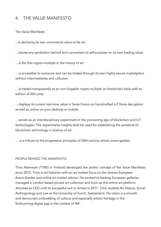# <span id="page-4-0"></span>4. THE VALUE MANIFESTO

The Value Manifesto

...is declaring its own commercial value to be art.

…leaves any symbolism behind and concretises its self-purpose on its own trading value.

…is the first crypto-multiple in the history of art

…is accessible to everyone and can be traded through its own highly secure marketplace without intermediaries and collusion.

…is traded transparently as an non-forgable crypto-multiple on blockchain basis with an edition of 250 units.

…displays its current real-time value in Swiss Francs on handcrafted IoT Nixie decryptors as well as online on your desktop or mobile.

…serves as an interdisciplinary experiment in the pioneering age of blockchain and IoT technologies. The experiments insights shall be used for establishing the presence of blockchain technology in science of art.

….is a tribute to the progressive principles of 20th-century artistic avant-gardes.

#### PEOPLE BEHIND THE MANIFESTO

Timo Niemeyer (\*1983 in Finland) developed the artistic concept of the Value Manifesto since 2015. Timo is art historian with an art market focus on the diverse European Avant-Gardes and online art market advisor. He worked at leading European galleries, managed a London based private art collection and built up the online art platform *Artusiast* as CEO until its successful exit to *Artnet* in 2017. Timo studied Art History, Social Anthropology and Law at the University of Zurich, Switzerland. His vision is a smooth and democratic embedding of cultural and especially artistic heritage in the forthcoming digital age in the context of IR4.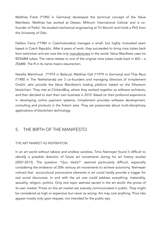Matthias Frank (\*1983 in Germany) developed the technical concept of the Value Manifesto. Matthias has worked at Deezer, Millicom International Cellular and is cofounder of ParkU. He studied mechanical engineering at TU Munich and holds a PhD from the University of Oslo.

Dalibor Farny (\*1984 in Czechoslovakia) manages a small, but highly motivated team based in Czech Republic. After 6 years of work, they succeeded to bring nixie tubes back from extinction and are now the only [manufacturers](http://www.daliborfarny.com/) in the world. Value Manifesto uses his RIZ568M tubes. The name relates to one of the original nixie tubes made back in 60's - a Z568M. The R in its name means resurrection.

Natallia Martchouk (\*1974 in Belarus), Matthias Gall (\*1979 in Germany) and Thijs Reus (\*1980 in The Netherlands) are 3 co-founders and managing directors of trimplement GmbH, who provide the Value Manifesto's trading platform based on the Ethereum blockchain. They met at ClickandBuy, where they worked together as software architects, and then decided to start their own business in 2010. Based on their profound experience in developing online payment systems, trimplement provides software development, consulting and products in the fintech area. They are passionate about multi-disciplinary applications of blockchain technology.

## <span id="page-5-0"></span>5. THE BIRTH OF THE MANIFESTO

#### THE ART MARKET AS INSPIRATION

In an art world without taboos and endless varieties, Timo Niemeyer found it difficult to identify a possible direction of future art movements during his art history studies (2007-2013). The question "Quo Vadis?" seemed particularly difficult, especially considering the endeavor of 20th century art movements to achieve autonomy. Niemeyer noticed that sociocultural provocative elements in art could hardly provide a trigger for real social discourses. In and with the art one could address everything: materiality, sexuality, religion, politics. Only one topic seemed sacred in the art world: the prices of its own market. Prices on the art market are scarcely communicated in public. They might be considered as high or expensive but never as wrong: Art may cost anything. Price lists appear mostly only upon request, not intended for the public eye.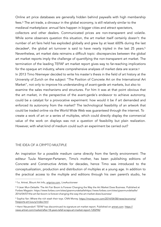<span id="page-6-7"></span><span id="page-6-6"></span><span id="page-6-5"></span><span id="page-6-4"></span>Online art price databases are generally hidden behind paywalls with high membership fees[.](#page-6-0) $3$  The art trade, a dinosaur in the global economy, is still relatively similar to the medieval marketplace: annual fairs happen in bigger cities and attract spectators, collectors and other dealers. Communicated prices are non-transparent and volatile. While some observers question this situation, the art market itself certainly doesn't: the number of art fairs held has exploded globally and grew by at least 600% during the last decadee<sup>[4](#page-6-1)</sup>, the global art turnover is said to have nearly tripled in the last 2[5](#page-6-2) years.<sup>5</sup> Nevertheless, art market data reimains a difficult topic: discrepancies between the global art market reports imply the challenge of quantifying the non-transparent art market. The termination of the leading TEFAF art market report gives way to far-reaching implications for the opaque art industry, where comprehensive analyses of market data are scarce.<sup>6</sup> In 2013 Timo Niemeyer decided to write his master's thesis in the field of art history at the University of Zurich on the subject "The Position of Concrete Art on the International Art Market", not only to improve his understanding of avant-garde art markets, but also to examine the sales mechanisms and structures. For him it was at that point obvious that the art market, in the perspective of the avant-garde's endeavor to achieve autonomy, could be a catalyst for a provocative experiment: how would it be if art demanded and enforced its autonomy from the market? The technological feasibility of an artwork that could be traded online via the World Wide Web was guaranteed through the internet. To create a work of art or a series of multiples, which could directly display the commercial value of the work on displays was not a question of feasibility but plain realization. However, with what kind of medium could such an experiment be carried out?

#### THE IDEA OF A CRYPTO MULTIPLE

An inspiration for a possible medium came directly from the family environment: The editeur Tuula Niemeyer-Partanen, Timo's mother, has been publisihing editions of Concrete and Constructive Artists for decades, hence Timo was introduced to the conceptualization, production and distribution of multiples at a young age. In addition to the practical access to the multiple and editions through his own parent's studio, he

<span id="page-6-0"></span><sup>&</sup>lt;sup>3</sup> f.e. Artnet, Blount Art Info, [artprice.com](http://artprice.com), LiveAuctioneer

<span id="page-6-1"></span>Y-Jean Mun-Delsalle: The Art Fair Boom Is Forever Changing the Way the Art Market Does Business. Published at [4](#page-6-5) Forbes Magazin: https://www.forbes.com/sites/yjeanmundelsallehttps://www.forbes.com/sites/yjeanmundelsalle/ 2016/04/07/the-art-fair-boom-is-forever-changing-the-way-the-art-market-does-business/

<span id="page-6-2"></span>Sophia Yan: Where the rich stash their toys. CNN Money. [https://money.cnn.com/2014/04/08/news/economy/](https://money.cnn.com/2014/04/08/news/economy/freeports-art-luxury/index.html) [5](#page-6-6) [freeports-art-luxury/index.html](https://money.cnn.com/2014/04/08/news/economy/freeports-art-luxury/index.html)

<span id="page-6-3"></span>Henri Neuendorf: TEFAF has discontinued its signature art market report. Published on [artnet.com](http://artnet.com): [https://](https://news.artnet.com/market/after-18-years-tefaf-scraps-art-market-report-1202942) [6](#page-6-7) [news.artnet.com/market/after-18-years-tefaf-scraps-art-market-report-1202942](https://news.artnet.com/market/after-18-years-tefaf-scraps-art-market-report-1202942)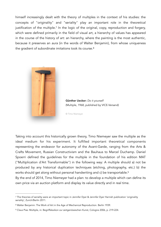<span id="page-7-3"></span>himself increasingly dealt with the theory of multiples in the context of his studies: the concepts of "originality" and "seriality" play an important role in the theoretical justification of the multiple[.](#page-7-0)<sup>[7](#page-7-0)</sup> In the logic of the original, copy, reproduction and forgery, which were defined primarily in the field of visual art, a hierarchy of values has appeared in the course of the history of art: an hierarchy, where the painting is the most authentic, because it preserves an *aura* (in the words of Walter Benjamin), from whose uniqueness the gradient of subordinate imitations took its course.<sup>[8](#page-7-1)</sup>

<span id="page-7-4"></span>

Günther Uecker: *Do it yourself* (Multiple, 1968, published by VICE-Versand)

<span id="page-7-5"></span>© Timo Niemeyer

Taking into account this historically grown theory, Timo Niemeyer saw the multiple as the ideal medium for his experiment. It fulfilled important theoretical components representing the endeavor for autonomy of the Avant-Garde, ranging from the Arts & Crafts Movement, Russian Constructivism and the Bauhaus to Marcel Duchamp. Daniel Spoerri defined the guidelines for the multiple in the foundation of his edition MAT ("Multiplication d'Art Transformable") in the following way: A multiple should a) not be produced by any historical duplication techniques (etching, photography, etc.) b) the works should get along without personal handwriting and c) be transportable.<sup>9</sup>

By the end of 2014, Timo Niemeyer had a plan: to develop a multiple which can define its own price via an auction platform and display its value directly and in real time.

<span id="page-7-0"></span>The theories of seriality were an important topic in Jennifer Dyer & Jennifer Dyer Harnish publication 'originality [7](#page-7-3) seriality', Zurich/Berlin 2011.

<span id="page-7-1"></span>[<sup>8</sup>](#page-7-4) Walter Benjamin: The Work of Art in the Age of Mechanical Reproduction. Berlin 1939.

<span id="page-7-2"></span>Claus Pias: Multiple, in: Begriffslexikon zur zeitgenössischen Kunst, Cologne 2006, p. 219-224. [9](#page-7-5)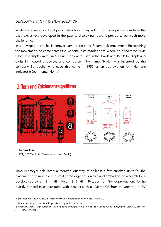#### DEVELOPMENT OF A DISPLAY SOLUTION

While there were plenty of possibilities for display solutions, finding a medium from the past, exclusively developed in the past to display numbers, it proved to be much more challenging.

<span id="page-8-2"></span>In a newspaper article, Niemeyer came across the Steampunk movement. Researching the movement, he came across the website instructables.com, where he discovered Nixie tubes as a display medium[.10](#page-8-0) Nixie tubes were used in the 1960s and 1970s for displaying digits in measuring devices and computers. The name "Nixie" was invented by the company Burroughs, who used this name in 1955 as an abbreviation for "Numeric Indicator eXperimental No I"[.11](#page-8-1)



<span id="page-8-3"></span>

# Ziffern-und Zeichenanzeigeröhren

Tube Brochure (1971, VEB Werk für Fernsehelektronik Berlin)

Timo Niemeyer calculated a required quantity of at least a few hundred units for the placement of a multiple in a small three-digit edition size and embarked on a search for a possible source for IN-14 (ИН -14) or IN-18 (ИН -18) tubes from Soviet production. Yet, he quickly noticed in conversation with dealers such as Dieter Wächter of Nocrotec or PV

<span id="page-8-0"></span><sup>10</sup> Steampunker Nixie Clock, in: [https://www.instructables.com/id/Nixie-Clock/,](https://www.instructables.com/id/Nixie-Clock/) 2011.

<span id="page-8-1"></span>[<sup>11</sup>](#page-8-3) Electronics Magazine 1965: https://books.google.de/books?

id=UBlRAAAAYAAJ&q=Burroughs+Nixie&dq=Burroughs+Nixie&hl=de&sa=X&ved=0ahUKEwjympPb\_LTcAhXGx6YKHR sTB1cQ6AEIMTAD.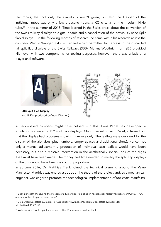<span id="page-9-4"></span><span id="page-9-3"></span>Electronics, that not only the availability wasn't given, but also the lifespan of the individual tubes was only a few thousand hours: a KO criteria for the medium Nixie tube.<sup>12</sup>In the summer of 2015, Timo learned in the Swiss press about the conversion of the Swiss railway displays to digital boards and a cancellation of the previously used Split flap displays[.](#page-9-1)<sup>[13](#page-9-1)</sup> In the following months of research, he came within his research across the company Vtec in Wangen a.A./Switzerland which permitted him access to the discarded fall split flap displays of the Swiss Railways (SBB). Markus Wuethrich from SBB provided Niemeyer with two components for testing purposes, however, there was a lack of a player and software.



<span id="page-9-5"></span>A Berlin-based company might have helped with this: Hans Pagel has developed a simulation software for DIY split flap displays[.](#page-9-2)<sup>[14](#page-9-2)</sup> In conversation with Pagel, it turned out that the display had problems showing numbers only: The leaflets were designed for the display of the alphabet (plus numbers, empty spaces and additional signs). Hence, not only a manual adjustment / production of individual case leaflets would have been necessary, but also a massive intervention in the aesthetically special look of the digits itself must have been made. The money and time needed to modify the split flap displays of the SBB would have been way out of proportion.

In autumn 2016, Dr. Matthias Frank joined the technical planning around the Value Manifesto: Matthias was enthusiastic about the theory of the project and, as a mechanical engineer, was eager to promote the technological implementation *of the Value Manifesto*.

<span id="page-9-0"></span><sup>&</sup>lt;sup>12</sup> Brian Benchoff: Measuring the lifespan of a Nixie tube. Published in [hackaday.io:](http://hackaday.io) https://hackaday.com/2013/11/24/ measuring-the-lifespan-of-nixie-tubes/

<span id="page-9-1"></span>[<sup>13</sup>](#page-9-4) Urs Bühler: Das letzte Zwinkern, in NZZ: https://www.nzz.ch/panorama/das-letzte-zwinkern-derfallblaetter-1.18589193.

<span id="page-9-2"></span>[<sup>14</sup>](#page-9-5) Website with Pagel's Split Flap Display: https://hanspagel.com/flap.html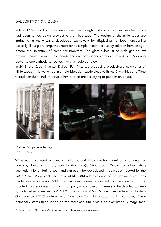#### DALIBOR FARNÝ'S R | Z 568M

In late 2016 a hint from a software developer brought both back to an earlier idea, which had been turned down previously: the Nixie tube. The design of the nixie tubes are intriguing in many ways: developed exclusively for displaying numbers, functioning basically like a glow lamp, they represent a simple electronic display solution from an age before the invention of computer monitors. The glass tubes, filled with gas at low pressure, contain a wire-mesh anode and number shaped cathodes from 0 to 9. Applying power to one cathode surrounds it with an colored glow.

<span id="page-10-1"></span>In 2013, the Czech inventor Dalibor Farný started producing producing a new series of Nixie tubes in his workshop in an old Moravian castle close to Brno[.15](#page-10-0)‑ Matthias and Timo visited him there and introduced him to their project, trying to get him on board.



Dalibor Farny's tube factory

© Dalibor Farny

What was once used as a mass-market numerical display for scientific instruments has nowadays become a luxury item: Dalibor Farný's Nixie tube R|Z568M has a fascinating aesthetic, a long lifetime span and can easily be reproduced in quantities needed for the *Value Manifesto* project. The name of R|Z568M relates to one of the original nixie tubes made back in 60's – a Z568M. The R in its name means resurrection. Farny wanted to pay tribute to old engineers from RFT company who chose this name and he decided to keep it, so together it makes "R|Z568M". The original Z 568 M was manufactured in Eastern Germany by RFT (Rundfunk- und Fernmelde-Technik), a tube making company. Farny personally states this tube to be the most beautiful nixie tube ever made: Vintage font,

<span id="page-10-0"></span><sup>&</sup>lt;sup>15</sup> Dalibor Farny's Nixie Tube Workshop Website:<https://www.daliborfarny.com>.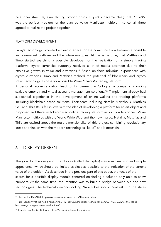<span id="page-11-4"></span>nice inner structure, eye-catching proportions[.16](#page-11-1) It quickly became clear, that RIZ568M was the perfect medium for the planned Value Manifesto multiple - hence, all three agreed to realize the project together.

#### PLATFORM DEVELOPMENT

Farný's technology provided a clear interface for the communication between a possible auction/market platform and the future multiples. At the same time, that Matthias and Timo started searching a possible developer for the realization of a simple trading platform, crypto currencies suddenly received a lot of media attention due to their explosive growth in value and diversities[.](#page-11-2)<sup>[17](#page-11-2)</sup> Based on their individual experiences with crypto currencies, Timo and Matthias realized the potential of blockchain and crypto token technology as base for a possible *Value Manifesto* trading platform.

<span id="page-11-6"></span><span id="page-11-5"></span>A personal recommendation lead to Trimplement in Cologne, a company providing scalable emoney and virtual account management solutions.<sup>[18](#page-11-3)</sup> Trimplement already had substantial experience in the development of online wallets and trading platforms including blockchain-based solutions. Their team including Natallia Martchouk, Matthias Gall and Thijs Reus fell in love with the idea of developing a platform for an art object and proposed an Ethereum token-based online trading platform as solution to connect Value Manifesto multiples with the World Wide Web and their own value. Natallia, Matthias and Thijs are excited about the multi-dimensionality of this project combining revolutionary ideas and fine art with the modern technologies like IoT and blockchain.

# <span id="page-11-0"></span>6. DISPLAY DESIGN

The goal for the design of the display (called decryptor) was a minimalistic and simple appearance, which should be limited as close as possible to the indication of the current value of the edition. As described in the previous part of this paper, the focus of the search for a possible display module centered on finding a solution only able to show numbers. At the same time, the intention was to build a bridge between old and new technologies. The technically archaic-looking Nixie tubes should contrast with the state-

<span id="page-11-1"></span>[<sup>16</sup>](#page-11-4) Story of the RIZ568M: https://www.daliborfarny.com/r-z568m-nixie-tube/

<span id="page-11-2"></span>[<sup>17</sup>](#page-11-5) Fitz Tepper: What the hell is happening..., in TechCrunch: https://techcrunch.com/2017/06/07/what-the-hell-ishappening-to-cryptocurrency-valuations/

<span id="page-11-3"></span>[<sup>18</sup>](#page-11-6) Trimplement GmbH Cologne:<https://www.trimplement.com/index>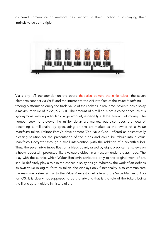of-the-art communication method they perform in their function of displaying their intrinsic value as multiple.



Via a tiny IoT transponder on the board that also powers the nixie tubes, the seven elements connect via Wi-Fi and the Internet to the API interface of the *Value Manifesto* trading platforms to query the trade value of their tokens in real-time. Seven tubes display a maximum value of 9,999,999 CHF. The amount of a million is not a coincidence, as it is synonymous with a particularly large amount, especially a large amount of money. The number seek to provoke the million-dollar art market, but also feeds the idea of becoming a millionaire by speculating on the art market as the owner of a *Value Manifesto* token. Dalibor Farny's development 'Zen Nixie Clock' offered an aesthetically pleasing solution for the presentation of the tubes and could be rebuilt into a Value Manifesto Decryptor through a small intervention (with the addition of a seventh tube). Thus, the seven nixie tubes float on a black board, raised by eight black carrier screws on a heavy pedestal - protected like a valuable object in a museum under a glass hood. The play with the auratic, which Walter Benjamin attributed only to the original work of art, should definitely play a role in the chosen display design. Whereby the work of art defines its own value in digital form as token, the displays only functionality is to communicate the real-time value, similar to the Value Manifesto web site and the Value Manifesto App for iOS. It is clearly not supposed to be the artwork: that is the role of the token, being the first crypto-multiple in history of art.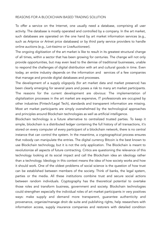#### REASONS FOR A BLOCKCHAIN BASED TRADING SOLUTION

To offer a service on the Internet, one usually need a database, comprising all user activity. The database is mostly operated and controlled by a company. In the art market, such databases are operated on the one hand by art market information services (e.g., such as Artprice or Artnet price databases) or by third party service providers to handle online auctions (e.g., Lot-tissimo or LiveAuctioneer).

The ongoing digitization of the art market is like to result in its greatest structural change of all times, within a sector that has been growing for centuries. The change will not only provide opportunities, but may even lead to the demise of traditional businesses, unable to respond the challenges of digital distribution with art and cultural goods in time. Even today, an entire industry depends on the information and services of a few companies that manage and provide digital databases and processes.

The development of a supply oligopoly (for art market data and market presence) has been clearly emerging for several years and poses a risk to many art market participants. The reasons for the current development are obvious: The implementation of digitalization processes in the art market are expensive, IT professionals are occupied by other industries (Fintech/Legal Tech), standards and transparent information are missing. Most art market participants are simply overwhelmed by the technological approaches and principles around Blockchain technologies as well as artificial intelligence.

Blockchain technology is a future alternative to centralized trusted parties. To keep it simple, blockchain is a distributed ledger containing the full history of all transactions, it's stored on every computer of every participant of a blockchain network, there is no central instance that can control the system. In the meantime, a cryptographical process ensures that nobody can manipulate the entries. The digital currency Bitcoin is the best known to use Blockchain technology, but it is not the only application. The Blockchain is meant to revolutionize all aspects of future contracting. Critics are questioning the relevance of this technology looking at its social impact and call the Blockchain idea an ideology rather than a technology. Ideology in this context means the idea of how society works and how it should work. One of the oldest problems of social science is the question of how trust can be established between members of the society. Think of banks, the legal system, parties or the media. All these institutions combine trust and secure social actions between random individuals. Cryptography has the theoretical potential to overtake those roles and transform business, government and society. Blockchain technologies could strengthen especially the individual roles of art market participants in very positives ways: make supply and demand more transparent, guarantee authenticity and provenance, organize/manage droit de suite and publishing rights, help researchers with information access, supply insurance companies and restorers with detailed condition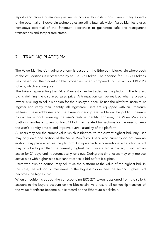reports and reduce bureaucracy as well as costs within institutions. Even if many aspects of the potential of Blockchain technologies are still a futuristic vision, Value Manifesto uses nowadays potential of the Ethereum blockchain to guarantee safe and transparent transactions and tamper-free states.

# <span id="page-14-0"></span>7. TRADING PLATFORM

The Value Manifesto's trading platform is based on the Ethereum blockchain where each of the 250 editions is represented by an ERC-271 token. The decision for ERC-271 tokens was based on their non-fungible properties when compared to ERC-20 or ERC-223 tokens, which are fungible.

The tokens representing the Value Manifesto can be traded via the platform: The highest bid is defining the displayed sales price. A transaction can be realized when a present owner is willing to sell his edition for the displayed price. To use the platform, users must register and verify their identity. All registered users are equipped with an Ethereum address. These addresses and the token ownership are visible on the public Ethereum blockchain without revealing the user's real-life identity. For now, the Value Manifesto platform handles all token contract / blockchain related transactions for the user to keep the user's identity private and improve overall usability of the platform.

All users may see the current value which is identical to the current highest bid. Any user may only own one edition of the Value Manifesto. Users, who currently do not own an edition, may place a bid via the platform. Comparable to a conventional art auction, a bid may only be higher than the currently highest bid. Once a bid is placed, it will remain active for 21 days until it automatically runs out. During this time, users may only replace active bids with higher bids but cannot cancel a bid before it expires.

Users who own an edition, may sell it via the platform at the value of the highest bid. In this case, the edition is transferred to the highest bidder and the second highest bid becomes the highest bid.

When an edition is traded, the corresponding ERC-271 token is assigned from the seller's account to the buyer's account on the blockchain. As a result, all ownership transfers of the Value Manifesto become public record on the Ethereum blockchain.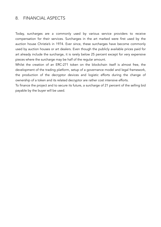## <span id="page-15-0"></span>8. FINANCIAL ASPECTS

Today, surcharges are a commonly used by various service providers to receive compensation for their services. Surcharges in the art marked were first used by the auction house Christie's in 1974. Ever since, these surcharges have become commonly used by auction houses or art dealers. Even though the publicly available prices paid for art already include the surcharge, it is rarely below 25 percent except for very expensive pieces where the surcharge may be half of the regular amount.

Whilst the creation of an ERC-271 token on the blockchain itself is almost free, the development of the trading platform, setup of a governance model and legal framework, the production of the decryptor devices and logistic efforts during the change of ownership of a token and its related decryptor are rather cost intensive efforts.

To finance the project and to secure its future, a surcharge of 21 percent of the selling bid payable by the buyer will be used.